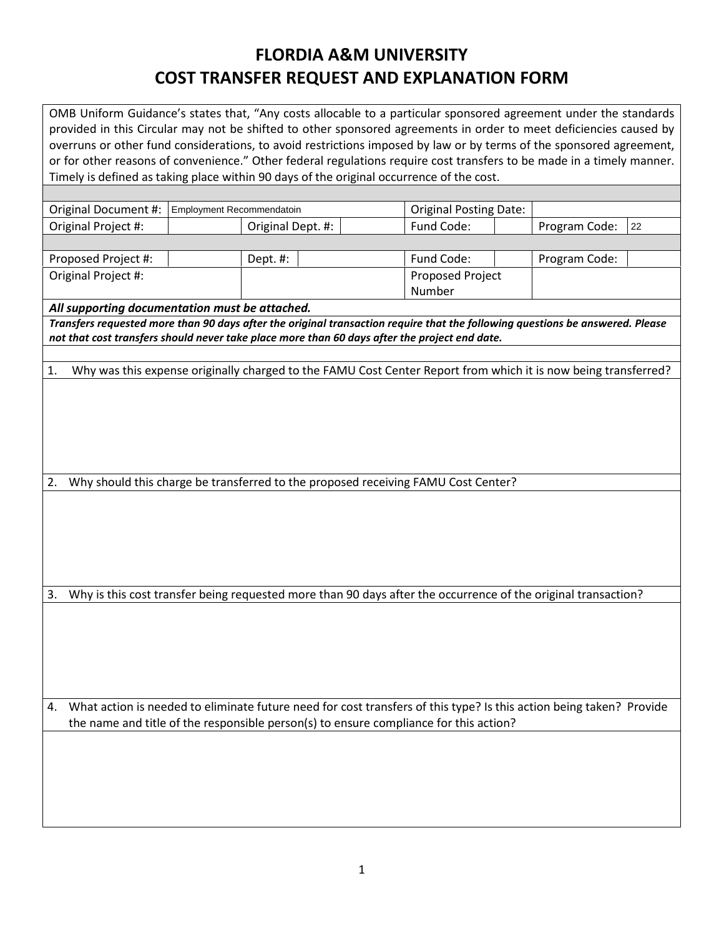## **FLORDIA A&M UNIVERSITY COST TRANSFER REQUEST AND EXPLANATION FORM**

OMB Uniform Guidance's states that, "Any costs allocable to a particular sponsored agreement under the standards provided in this Circular may not be shifted to other sponsored agreements in order to meet deficiencies caused by overruns or other fund considerations, to avoid restrictions imposed by law or by terms of the sponsored agreement, or for other reasons of convenience." Other federal regulations require cost transfers to be made in a timely manner. Timely is defined as taking place within 90 days of the original occurrence of the cost. Original Document #: Employment Recommendatoin **Fig. 1** Original Posting Date: Original Project #:  $\vert$  Original Dept. #: Fund Code:  $\vert$  Program Code: Proposed Project #: Dept. #: Fund Code: Program Code: Original Project #: Proposed Project Number *All supporting documentation must be attached. Transfers requested more than 90 days after the original transaction require that the following questions be answered. Please not that cost transfers should never take place more than 60 days after the project end date.* 1. Why was this expense originally charged to the FAMU Cost Center Report from which it is now being transferred? 2. Why should this charge be transferred to the proposed receiving FAMU Cost Center? 3. Why is this cost transfer being requested more than 90 days after the occurrence of the original transaction? 4. What action is needed to eliminate future need for cost transfers of this type? Is this action being taken? Provide the name and title of the responsible person(s) to ensure compliance for this action? 22